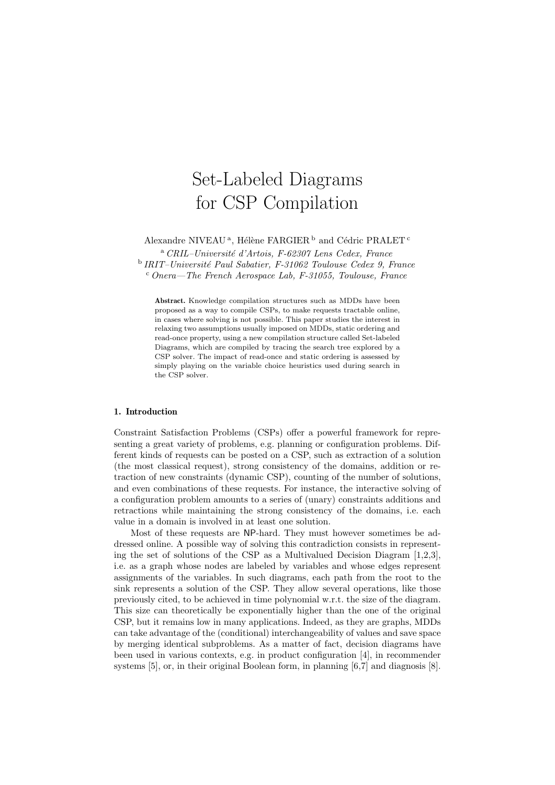# Set-Labeled Diagrams for CSP Compilation

Alexandre NIVEAU<sup>a</sup>, Hélène FARGIER<sup>b</sup> and Cédric PRALET<sup>c</sup>

<sup>a</sup> CRIL–Université d'Artois, F-62307 Lens Cedex, France

<sup>b</sup> IRIT–Université Paul Sabatier, F-31062 Toulouse Cedex 9, France <sup>c</sup> Onera—The French Aerospace Lab, F-31055, Toulouse, France

Abstract. Knowledge compilation structures such as MDDs have been proposed as a way to compile CSPs, to make requests tractable online, in cases where solving is not possible. This paper studies the interest in relaxing two assumptions usually imposed on MDDs, static ordering and read-once property, using a new compilation structure called Set-labeled Diagrams, which are compiled by tracing the search tree explored by a CSP solver. The impact of read-once and static ordering is assessed by simply playing on the variable choice heuristics used during search in the CSP solver.

## 1. Introduction

Constraint Satisfaction Problems (CSPs) offer a powerful framework for representing a great variety of problems, e.g. planning or configuration problems. Different kinds of requests can be posted on a CSP, such as extraction of a solution (the most classical request), strong consistency of the domains, addition or retraction of new constraints (dynamic CSP), counting of the number of solutions, and even combinations of these requests. For instance, the interactive solving of a configuration problem amounts to a series of (unary) constraints additions and retractions while maintaining the strong consistency of the domains, i.e. each value in a domain is involved in at least one solution.

Most of these requests are NP-hard. They must however sometimes be addressed online. A possible way of solving this contradiction consists in representing the set of solutions of the CSP as a Multivalued Decision Diagram [1,2,3], i.e. as a graph whose nodes are labeled by variables and whose edges represent assignments of the variables. In such diagrams, each path from the root to the sink represents a solution of the CSP. They allow several operations, like those previously cited, to be achieved in time polynomial w.r.t. the size of the diagram. This size can theoretically be exponentially higher than the one of the original CSP, but it remains low in many applications. Indeed, as they are graphs, MDDs can take advantage of the (conditional) interchangeability of values and save space by merging identical subproblems. As a matter of fact, decision diagrams have been used in various contexts, e.g. in product configuration [4], in recommender systems [5], or, in their original Boolean form, in planning [6,7] and diagnosis [8].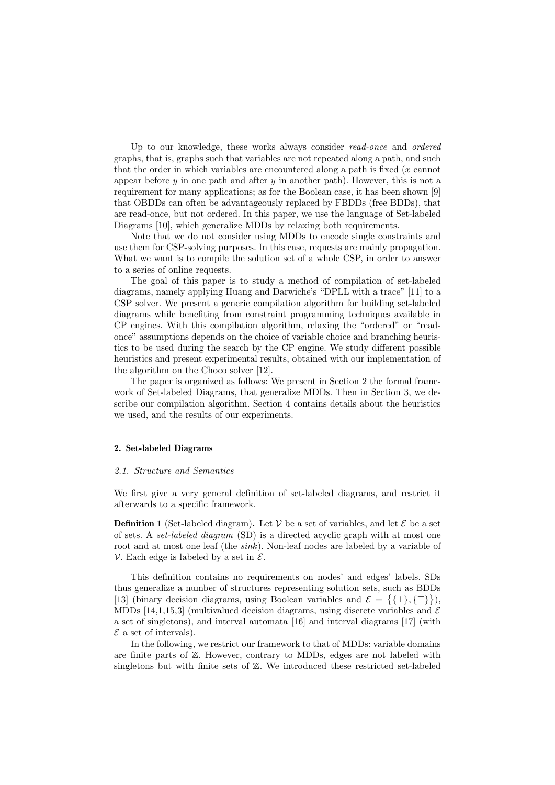Up to our knowledge, these works always consider read-once and ordered graphs, that is, graphs such that variables are not repeated along a path, and such that the order in which variables are encountered along a path is fixed  $(x \text{ cannot}$ appear before  $y$  in one path and after  $y$  in another path). However, this is not a requirement for many applications; as for the Boolean case, it has been shown [9] that OBDDs can often be advantageously replaced by FBDDs (free BDDs), that are read-once, but not ordered. In this paper, we use the language of Set-labeled Diagrams [10], which generalize MDDs by relaxing both requirements.

Note that we do not consider using MDDs to encode single constraints and use them for CSP-solving purposes. In this case, requests are mainly propagation. What we want is to compile the solution set of a whole CSP, in order to answer to a series of online requests.

The goal of this paper is to study a method of compilation of set-labeled diagrams, namely applying Huang and Darwiche's "DPLL with a trace" [11] to a CSP solver. We present a generic compilation algorithm for building set-labeled diagrams while benefiting from constraint programming techniques available in CP engines. With this compilation algorithm, relaxing the "ordered" or "readonce" assumptions depends on the choice of variable choice and branching heuristics to be used during the search by the CP engine. We study different possible heuristics and present experimental results, obtained with our implementation of the algorithm on the Choco solver [12].

The paper is organized as follows: We present in Section 2 the formal framework of Set-labeled Diagrams, that generalize MDDs. Then in Section 3, we describe our compilation algorithm. Section 4 contains details about the heuristics we used, and the results of our experiments.

## 2. Set-labeled Diagrams

#### 2.1. Structure and Semantics

We first give a very general definition of set-labeled diagrams, and restrict it afterwards to a specific framework.

**Definition 1** (Set-labeled diagram). Let  $V$  be a set of variables, and let  $\mathcal{E}$  be a set of sets. A set-labeled diagram (SD) is a directed acyclic graph with at most one root and at most one leaf (the *sink*). Non-leaf nodes are labeled by a variable of  $V$ . Each edge is labeled by a set in  $\mathcal{E}$ .

This definition contains no requirements on nodes' and edges' labels. SDs thus generalize a number of structures representing solution sets, such as BDDs [13] (binary decision diagrams, using Boolean variables and  $\mathcal{E} = \{ \{\perp\}, \{\top\} \},$ MDDs [14,1,15,3] (multivalued decision diagrams, using discrete variables and  $\mathcal E$ a set of singletons), and interval automata [16] and interval diagrams [17] (with  $\mathcal E$  a set of intervals).

In the following, we restrict our framework to that of MDDs: variable domains are finite parts of Z. However, contrary to MDDs, edges are not labeled with singletons but with finite sets of Z. We introduced these restricted set-labeled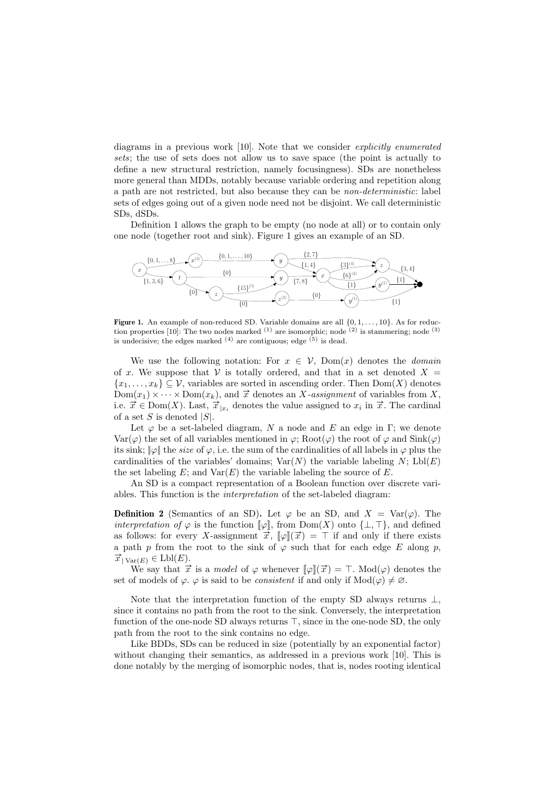diagrams in a previous work [10]. Note that we consider explicitly enumerated sets; the use of sets does not allow us to save space (the point is actually to define a new structural restriction, namely focusingness). SDs are nonetheless more general than MDDs, notably because variable ordering and repetition along a path are not restricted, but also because they can be non-deterministic: label sets of edges going out of a given node need not be disjoint. We call deterministic SDs, dSDs.

Definition 1 allows the graph to be empty (no node at all) or to contain only one node (together root and sink). Figure 1 gives an example of an SD.



Figure 1. An example of non-reduced SD. Variable domains are all  $\{0, 1, \ldots, 10\}$ . As for reduction properties [10]: The two nodes marked  $(1)$  are isomorphic; node  $(2)$  is stammering; node  $(3)$ is undecisive; the edges marked  $(4)$  are contiguous; edge  $(5)$  is dead.

We use the following notation: For  $x \in V$ , Dom(x) denotes the *domain* of x. We suppose that V is totally ordered, and that in a set denoted  $X =$  ${x_1, \ldots, x_k} \subseteq V$ , variables are sorted in ascending order. Then  $Dom(X)$  denotes  $Dom(x_1) \times \cdots \times Dom(x_k)$ , and  $\vec{x}$  denotes an X-assignment of variables from X,  $\lim_{x \to \infty} \sum_{x} \lim_{x} \frac{1}{x} \lim_{x \to \infty} \lim_{x \to \infty} \lim_{x \to \infty} \lim_{x \to \infty} \lim_{x \to \infty} \lim_{x \to \infty} \lim_{x \to \infty} \lim_{x \to \infty} \lim_{x \to \infty} \lim_{x \to \infty} \lim_{x \to \infty} \lim_{x \to \infty} \lim_{x \to \infty} \lim_{x \to \infty} \lim_{x \to \infty} \lim_{x \to \infty} \lim_{x \to \infty} \lim_{x \to \infty} \lim_{x \to \infty} \lim_{$ of a set S is denoted  $|S|$ .

Let  $\varphi$  be a set-labeled diagram, N a node and E an edge in Γ; we denote Var( $\varphi$ ) the set of all variables mentioned in  $\varphi$ ; Root( $\varphi$ ) the root of  $\varphi$  and Sink( $\varphi$ ) its sink;  $\|\varphi\|$  the *size* of  $\varphi$ , i.e. the sum of the cardinalities of all labels in  $\varphi$  plus the cardinalities of the variables' domains;  $Var(N)$  the variable labeling N;  $Lbl(E)$ the set labeling  $E$ ; and  $Var(E)$  the variable labeling the source of  $E$ .

An SD is a compact representation of a Boolean function over discrete variables. This function is the interpretation of the set-labeled diagram:

**Definition 2** (Semantics of an SD). Let  $\varphi$  be an SD, and  $X = \text{Var}(\varphi)$ . The *interpretation of*  $\varphi$  is the function  $\llbracket \varphi \rrbracket$ , from Dom(X) onto { $\perp$ ,  $\top$ }, and defined as follows: for every X-assignment  $\vec{x}$ ,  $[\varphi](\vec{x}) = \top$  if and only if there exists a path p from the root to the sink of  $\varphi$  such that for each edge E along p,  $\overrightarrow{x}_{|\text{Var}(E)} \in \text{Lbl}(E).$ 

We say that  $\vec{x}$  is a *model* of  $\varphi$  whenever  $[\varphi](\vec{x}) = \top$ . Mod $(\varphi)$  denotes the set of models of  $\varphi$ .  $\varphi$  is said to be *consistent* if and only if  $Mod(\varphi) \neq \varnothing$ .

Note that the interpretation function of the empty SD always returns  $\perp$ , since it contains no path from the root to the sink. Conversely, the interpretation function of the one-node SD always returns  $\top$ , since in the one-node SD, the only path from the root to the sink contains no edge.

Like BDDs, SDs can be reduced in size (potentially by an exponential factor) without changing their semantics, as addressed in a previous work [10]. This is done notably by the merging of isomorphic nodes, that is, nodes rooting identical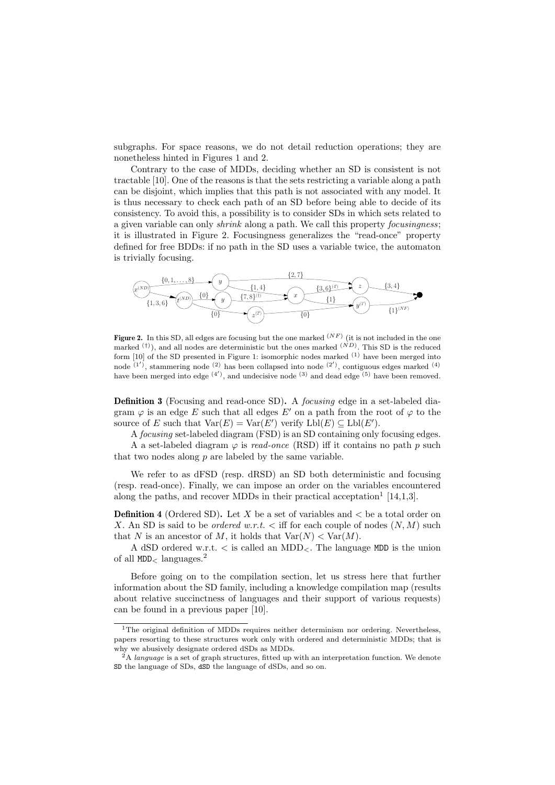subgraphs. For space reasons, we do not detail reduction operations; they are nonetheless hinted in Figures 1 and 2.

Contrary to the case of MDDs, deciding whether an SD is consistent is not tractable [10]. One of the reasons is that the sets restricting a variable along a path can be disjoint, which implies that this path is not associated with any model. It is thus necessary to check each path of an SD before being able to decide of its consistency. To avoid this, a possibility is to consider SDs in which sets related to a given variable can only shrink along a path. We call this property focusingness; it is illustrated in Figure 2. Focusingness generalizes the "read-once" property defined for free BDDs: if no path in the SD uses a variable twice, the automaton is trivially focusing.



**Figure 2.** In this SD, all edges are focusing but the one marked  $(NF)$  (it is not included in the one marked  $(†)$ , and all nodes are deterministic but the ones marked  $(ND)$ . This SD is the reduced form  $[10]$  of the SD presented in Figure 1: isomorphic nodes marked  $(1)$  have been merged into node  $(1)$ , stammering node  $(2)$  has been collapsed into node  $(2')$ , contiguous edges marked  $(4)$ have been merged into edge  $(4')$ , and undecisive node  $(3)$  and dead edge  $(5)$  have been removed.

Definition 3 (Focusing and read-once SD). A *focusing* edge in a set-labeled diagram  $\varphi$  is an edge E such that all edges E' on a path from the root of  $\varphi$  to the source of E such that  $Var(E) = Var(E')$  verify  $Lbl(E) \subseteq Lbl(E')$ .

A focusing set-labeled diagram (FSD) is an SD containing only focusing edges. A a set-labeled diagram  $\varphi$  is *read-once* (RSD) iff it contains no path p such that two nodes along  $p$  are labeled by the same variable.

We refer to as dFSD (resp. dRSD) an SD both deterministic and focusing (resp. read-once). Finally, we can impose an order on the variables encountered along the paths, and recover MDDs in their practical acceptation<sup>1</sup> [14,1,3].

**Definition 4** (Ordered SD). Let X be a set of variables and  $\lt$  be a total order on X. An SD is said to be *ordered w.r.t.*  $\lt$  iff for each couple of nodes  $(N, M)$  such that N is an ancestor of M, it holds that  $\text{Var}(N) < \text{Var}(M)$ .

A dSD ordered w.r.t.  $\lt$  is called an MDD $\lt$ . The language MDD is the union of all  $MDD<$  languages.<sup>2</sup>

Before going on to the compilation section, let us stress here that further information about the SD family, including a knowledge compilation map (results about relative succinctness of languages and their support of various requests) can be found in a previous paper [10].

 $1$ The original definition of MDDs requires neither determinism nor ordering. Nevertheless, papers resorting to these structures work only with ordered and deterministic MDDs; that is why we abusively designate ordered dSDs as MDDs.

 $^{2}$ A *language* is a set of graph structures, fitted up with an interpretation function. We denote SD the language of SDs, dSD the language of dSDs, and so on.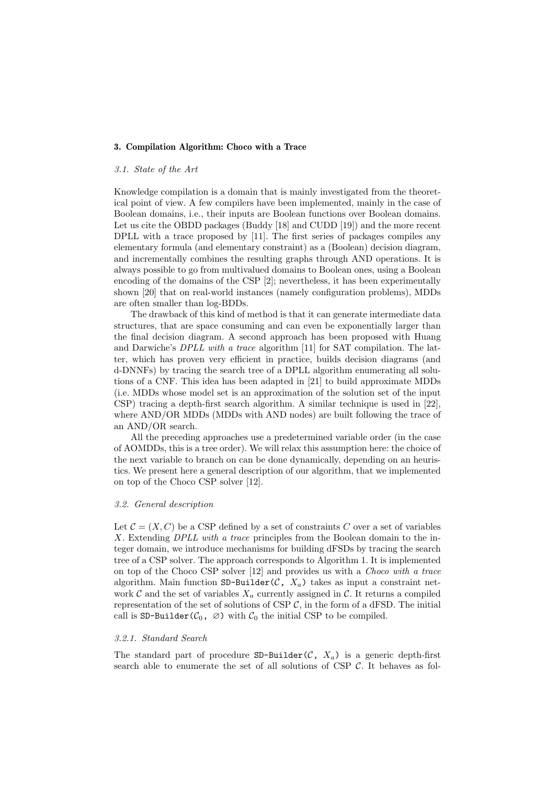## 3. Compilation Algorithm: Choco with a Trace

## 3.1. State of the Art

Knowledge compilation is a domain that is mainly investigated from the theoretical point of view. A few compilers have been implemented, mainly in the case of Boolean domains, i.e., their inputs are Boolean functions over Boolean domains. Let us cite the OBDD packages (Buddy [18] and CUDD [19]) and the more recent DPLL with a trace proposed by [11]. The first series of packages compiles any elementary formula (and elementary constraint) as a (Boolean) decision diagram, and incrementally combines the resulting graphs through AND operations. It is always possible to go from multivalued domains to Boolean ones, using a Boolean encoding of the domains of the CSP [2]; nevertheless, it has been experimentally shown [20] that on real-world instances (namely configuration problems), MDDs are often smaller than log-BDDs.

The drawback of this kind of method is that it can generate intermediate data structures, that are space consuming and can even be exponentially larger than the final decision diagram. A second approach has been proposed with Huang and Darwiche's DPLL with a trace algorithm [11] for SAT compilation. The latter, which has proven very efficient in practice, builds decision diagrams (and d-DNNFs) by tracing the search tree of a DPLL algorithm enumerating all solutions of a CNF. This idea has been adapted in [21] to build approximate MDDs (i.e. MDDs whose model set is an approximation of the solution set of the input CSP) tracing a depth-first search algorithm. A similar technique is used in [22], where AND/OR MDDs (MDDs with AND nodes) are built following the trace of an AND/OR search.

All the preceding approaches use a predetermined variable order (in the case of AOMDDs, this is a tree order). We will relax this assumption here: the choice of the next variable to branch on can be done dynamically, depending on an heuristics. We present here a general description of our algorithm, that we implemented on top of the Choco CSP solver [12].

## 3.2. General description

Let  $C = (X, C)$  be a CSP defined by a set of constraints C over a set of variables X. Extending DPLL with a trace principles from the Boolean domain to the integer domain, we introduce mechanisms for building dFSDs by tracing the search tree of a CSP solver. The approach corresponds to Algorithm 1. It is implemented on top of the Choco CSP solver [12] and provides us with a Choco with a trace algorithm. Main function  $SD-Builder(\mathcal{C}, X_a)$  takes as input a constraint network  $\mathcal C$  and the set of variables  $X_a$  currently assigned in  $\mathcal C$ . It returns a compiled representation of the set of solutions of CSP  $\mathcal{C}$ , in the form of a dFSD. The initial call is SD-Builder( $C_0$ ,  $\varnothing$ ) with  $C_0$  the initial CSP to be compiled.

# 3.2.1. Standard Search

The standard part of procedure SD-Builder(C,  $X_a$ ) is a generic depth-first search able to enumerate the set of all solutions of CSP  $\mathcal{C}$ . It behaves as fol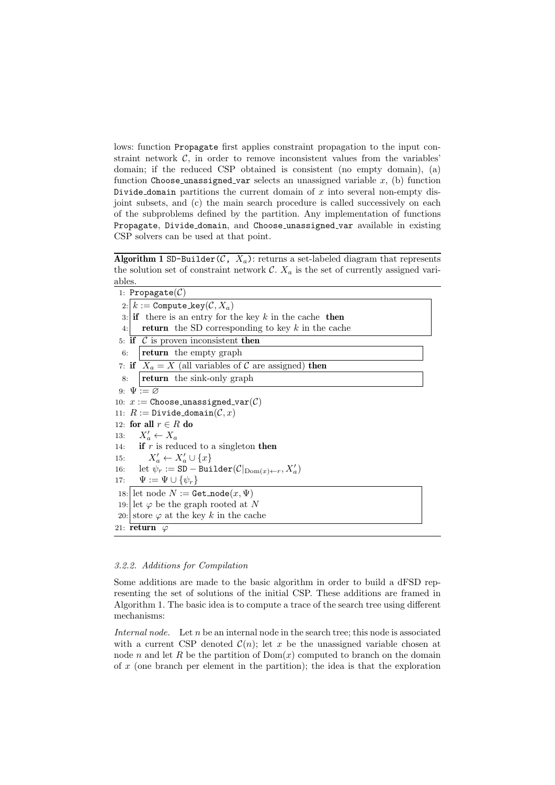lows: function Propagate first applies constraint propagation to the input constraint network  $C$ , in order to remove inconsistent values from the variables' domain; if the reduced CSP obtained is consistent (no empty domain), (a) function Choose unassigned var selects an unassigned variable  $x$ , (b) function Divide domain partitions the current domain of  $x$  into several non-empty disjoint subsets, and (c) the main search procedure is called successively on each of the subproblems defined by the partition. Any implementation of functions Propagate, Divide\_domain, and Choose\_unassigned\_var available in existing CSP solvers can be used at that point.

Algorithm 1 SD-Builder( $C$ ,  $X_a$ ): returns a set-labeled diagram that represents the solution set of constraint network  $\mathcal{C}$ .  $X_a$  is the set of currently assigned variables.

| 1: Propagate $(\mathcal{C})$                                                                           |
|--------------------------------------------------------------------------------------------------------|
| 2: $k :=$ Compute_key $(C, X_a)$                                                                       |
| 3: if there is an entry for the key k in the cache then                                                |
| <b>return</b> the SD corresponding to key $k$ in the cache<br>4:                                       |
| 5. if $\mathcal C$ is proven inconsistent then                                                         |
| return the empty graph<br>6:                                                                           |
| 7: if $X_a = X$ (all variables of C are assigned) then                                                 |
| return the sink-only graph<br>8:                                                                       |
| 9: $\Psi := \varnothing$                                                                               |
| 10: $x := \texttt{Choose\_unassigned\_var}(\mathcal{C})$                                               |
| 11: $R :=$ Divide_domain $(\mathcal{C}, x)$                                                            |
| 12: for all $r \in R$ do                                                                               |
| 13: $X'_a \leftarrow X_a$                                                                              |
| 14: <b>if</b> $r$ is reduced to a singleton <b>then</b>                                                |
| 15. $X'_a \leftarrow X'_a \cup \{x\}$                                                                  |
| 16: $\det \psi_r := \texttt{SD} - \texttt{Builder}(\mathcal{C} _{\texttt{Dom}(x) \leftarrow r}, X'_a)$ |
| 17: $\Psi := \Psi \cup \{\psi_r\}$                                                                     |
| 18: let node $N := \mathtt{Get\_node}(x, \Psi)$                                                        |
| 19: let $\varphi$ be the graph rooted at N                                                             |
| 20: store $\varphi$ at the key k in the cache                                                          |
| 21: $\mathbf{return} \ \ \varphi$                                                                      |

# 3.2.2. Additions for Compilation

Some additions are made to the basic algorithm in order to build a dFSD representing the set of solutions of the initial CSP. These additions are framed in Algorithm 1. The basic idea is to compute a trace of the search tree using different mechanisms:

Internal node. Let  $n$  be an internal node in the search tree; this node is associated with a current CSP denoted  $\mathcal{C}(n)$ ; let x be the unassigned variable chosen at node n and let R be the partition of  $Dom(x)$  computed to branch on the domain of  $x$  (one branch per element in the partition); the idea is that the exploration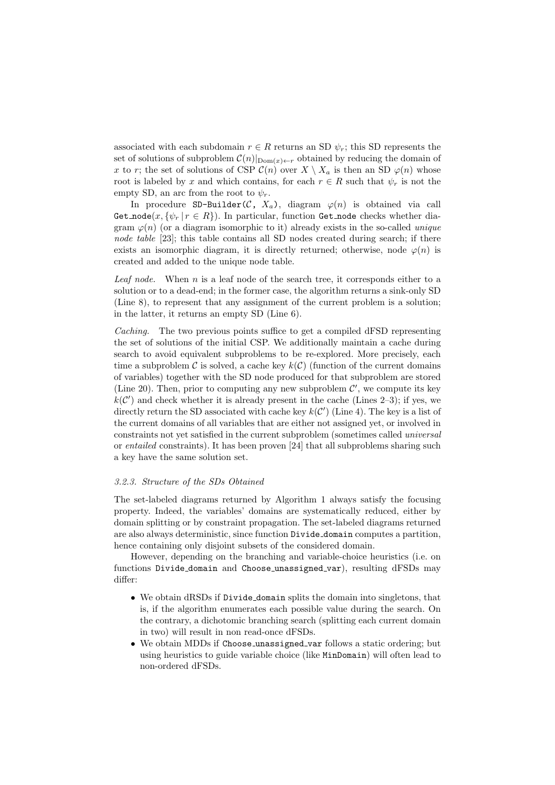associated with each subdomain  $r \in R$  returns an SD  $\psi_r$ ; this SD represents the set of solutions of subproblem  $\mathcal{C}(n)|_{\text{Dom}(x) \leftarrow r}$  obtained by reducing the domain of x to r; the set of solutions of CSP  $\mathcal{C}(n)$  over  $X \setminus X_a$  is then an SD  $\varphi(n)$  whose root is labeled by x and which contains, for each  $r \in R$  such that  $\psi_r$  is not the empty SD, an arc from the root to  $\psi_r$ .

In procedure SD-Builder(C,  $X_a$ ), diagram  $\varphi(n)$  is obtained via call Get node $(x, \{\psi_r | r \in R\})$ . In particular, function Get node checks whether diagram  $\varphi(n)$  (or a diagram isomorphic to it) already exists in the so-called *unique* node table [23]; this table contains all SD nodes created during search; if there exists an isomorphic diagram, it is directly returned; otherwise, node  $\varphi(n)$  is created and added to the unique node table.

Leaf node. When  $n$  is a leaf node of the search tree, it corresponds either to a solution or to a dead-end; in the former case, the algorithm returns a sink-only SD (Line 8), to represent that any assignment of the current problem is a solution; in the latter, it returns an empty SD (Line 6).

Caching. The two previous points suffice to get a compiled dFSD representing the set of solutions of the initial CSP. We additionally maintain a cache during search to avoid equivalent subproblems to be re-explored. More precisely, each time a subproblem C is solved, a cache key  $k(\mathcal{C})$  (function of the current domains of variables) together with the SD node produced for that subproblem are stored (Line 20). Then, prior to computing any new subproblem  $\mathcal{C}'$ , we compute its key  $k(\mathcal{C}')$  and check whether it is already present in the cache (Lines 2–3); if yes, we directly return the SD associated with cache key  $k(\mathcal{C}')$  (Line 4). The key is a list of the current domains of all variables that are either not assigned yet, or involved in constraints not yet satisfied in the current subproblem (sometimes called universal or entailed constraints). It has been proven [24] that all subproblems sharing such a key have the same solution set.

#### 3.2.3. Structure of the SDs Obtained

The set-labeled diagrams returned by Algorithm 1 always satisfy the focusing property. Indeed, the variables' domains are systematically reduced, either by domain splitting or by constraint propagation. The set-labeled diagrams returned are also always deterministic, since function Divide domain computes a partition, hence containing only disjoint subsets of the considered domain.

However, depending on the branching and variable-choice heuristics (i.e. on functions Divide domain and Choose unassigned var), resulting dFSDs may differ:

- We obtain dRSDs if Divide domain splits the domain into singletons, that is, if the algorithm enumerates each possible value during the search. On the contrary, a dichotomic branching search (splitting each current domain in two) will result in non read-once dFSDs.
- We obtain MDDs if Choose\_unassigned\_var follows a static ordering; but using heuristics to guide variable choice (like MinDomain) will often lead to non-ordered dFSDs.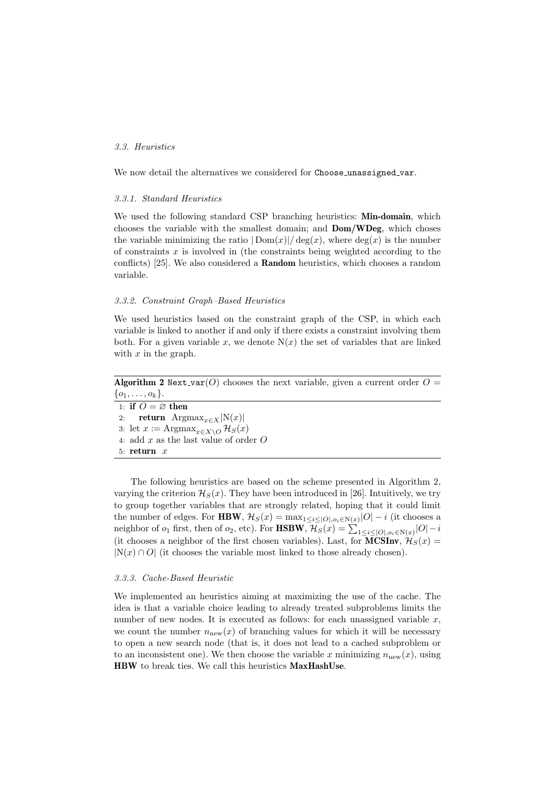# 3.3. Heuristics

We now detail the alternatives we considered for Choose\_unassigned\_var.

## 3.3.1. Standard Heuristics

We used the following standard CSP branching heuristics: **Min-domain**, which chooses the variable with the smallest domain; and Dom/WDeg, which choses the variable minimizing the ratio  $|{\rm Dom}(x)|/\deg(x)$ , where  $\deg(x)$  is the number of constraints  $x$  is involved in (the constraints being weighted according to the conflicts) [25]. We also considered a Random heuristics, which chooses a random variable.

#### 3.3.2. Constraint Graph–Based Heuristics

We used heuristics based on the constraint graph of the CSP, in which each variable is linked to another if and only if there exists a constraint involving them both. For a given variable x, we denote  $N(x)$  the set of variables that are linked with  $x$  in the graph.

# Algorithm 2 Next variable, given a current order  $O =$  $\{o_1, \ldots, o_k\}.$

1: if  $O = \emptyset$  then 2: **return** Argmax<sub>x∈X</sub>|N(x)| 3: let  $x := \text{Argmax}_{x \in X \setminus O} \mathcal{H}_S(x)$ 4: add x as the last value of order O 5:  $return x$ 

The following heuristics are based on the scheme presented in Algorithm 2, varying the criterion  $\mathcal{H}_{S}(x)$ . They have been introduced in [26]. Intuitively, we try to group together variables that are strongly related, hoping that it could limit the number of edges. For **HBW**,  $\mathcal{H}_S(x) = \max_{1 \leq i \leq |O|, o_i \in N(x)} |O| - i$  (it chooses a neighbor of  $o_1$  first, then of  $o_2$ , etc). For **HSBW**,  $\mathcal{H}_S(x) = \sum_{1 \leq i \leq |O|, o_i \in N(x)} |O| - i$ (it chooses a neighbor of the first chosen variables). Last, for **MCSInv**,  $\mathcal{H}_S(x)$  =  $|N(x) \cap O|$  (it chooses the variable most linked to those already chosen).

## 3.3.3. Cache-Based Heuristic

We implemented an heuristics aiming at maximizing the use of the cache. The idea is that a variable choice leading to already treated subproblems limits the number of new nodes. It is executed as follows: for each unassigned variable  $x$ , we count the number  $n_{\text{new}}(x)$  of branching values for which it will be necessary to open a new search node (that is, it does not lead to a cached subproblem or to an inconsistent one). We then choose the variable x minimizing  $n_{\text{new}}(x)$ , using HBW to break ties. We call this heuristics MaxHashUse.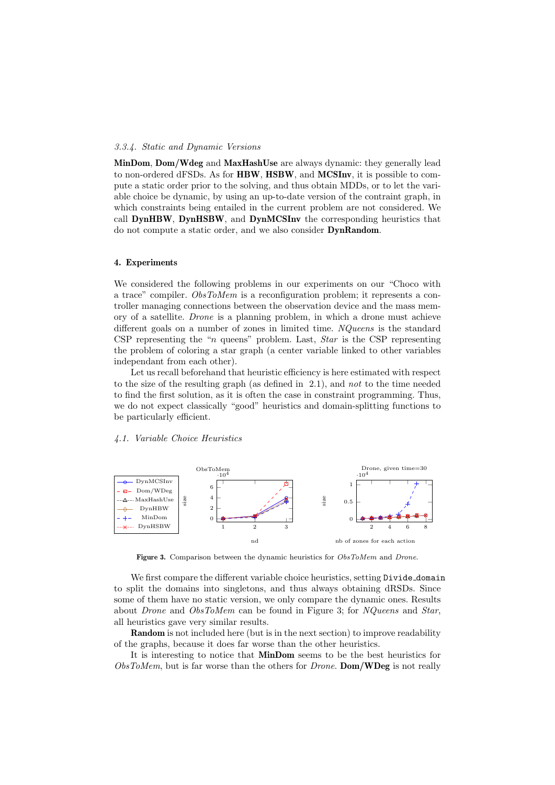# 3.3.4. Static and Dynamic Versions

MinDom, Dom/Wdeg and MaxHashUse are always dynamic: they generally lead to non-ordered dFSDs. As for HBW, HSBW, and MCSInv, it is possible to compute a static order prior to the solving, and thus obtain MDDs, or to let the variable choice be dynamic, by using an up-to-date version of the contraint graph, in which constraints being entailed in the current problem are not considered. We call DynHBW, DynHSBW, and DynMCSInv the corresponding heuristics that do not compute a static order, and we also consider DynRandom.

## 4. Experiments

We considered the following problems in our experiments on our "Choco with a trace" compiler. ObsToMem is a reconfiguration problem; it represents a controller managing connections between the observation device and the mass memory of a satellite. Drone is a planning problem, in which a drone must achieve different goals on a number of zones in limited time. NQueens is the standard CSP representing the "n queens" problem. Last, Star is the CSP representing the problem of coloring a star graph (a center variable linked to other variables independant from each other).

Let us recall beforehand that heuristic efficiency is here estimated with respect to the size of the resulting graph (as defined in 2.1), and not to the time needed to find the first solution, as it is often the case in constraint programming. Thus, we do not expect classically "good" heuristics and domain-splitting functions to be particularly efficient.

#### 4.1. Variable Choice Heuristics



Figure 3. Comparison between the dynamic heuristics for *ObsToMem* and *Drone*.

We first compare the different variable choice heuristics, setting Divide domain to split the domains into singletons, and thus always obtaining dRSDs. Since some of them have no static version, we only compare the dynamic ones. Results about Drone and ObsToMem can be found in Figure 3; for NQueens and Star, all heuristics gave very similar results.

Random is not included here (but is in the next section) to improve readability of the graphs, because it does far worse than the other heuristics.

It is interesting to notice that MinDom seems to be the best heuristics for  $ObsToMem$ , but is far worse than the others for *Drone*. **Dom/WDeg** is not really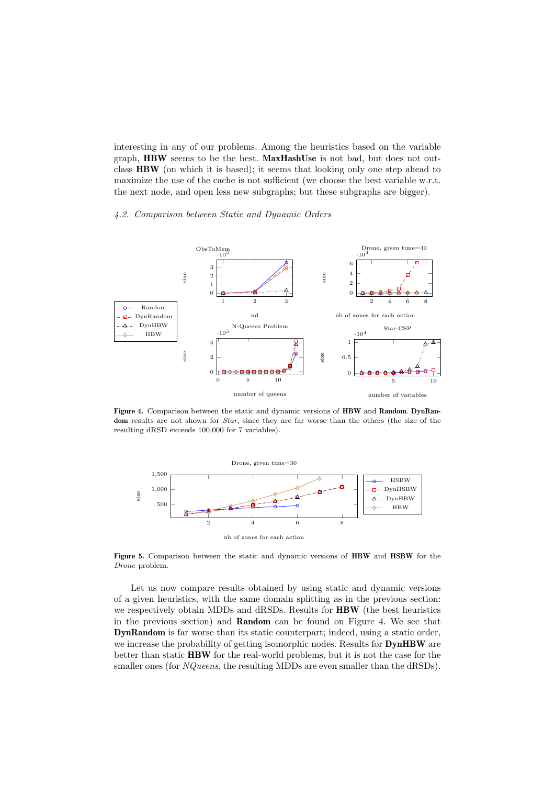interesting in any of our problems. Among the heuristics based on the variable graph, HBW seems to be the best. MaxHashUse is not bad, but does not outclass HBW (on which it is based); it seems that looking only one step ahead to maximize the use of the cache is not sufficient (we choose the best variable w.r.t. the next node, and open less new subgraphs; but these subgraphs are bigger).

## 4.2. Comparison between Static and Dynamic Orders



Figure 4. Comparison between the static and dynamic versions of HBW and Random. DynRandom results are not shown for *Star*, since they are far worse than the others (the size of the resulting dRSD exceeds 100,000 for 7 variables).



Figure 5. Comparison between the static and dynamic versions of HBW and HSBW for the Drone problem.

Let us now compare results obtained by using static and dynamic versions of a given heuristics, with the same domain splitting as in the previous section: we respectively obtain MDDs and dRSDs. Results for **HBW** (the best heuristics in the previous section) and Random can be found on Figure 4. We see that DynRandom is far worse than its static counterpart; indeed, using a static order, we increase the probability of getting isomorphic nodes. Results for **DynHBW** are better than static HBW for the real-world problems, but it is not the case for the smaller ones (for NQueens, the resulting MDDs are even smaller than the dRSDs).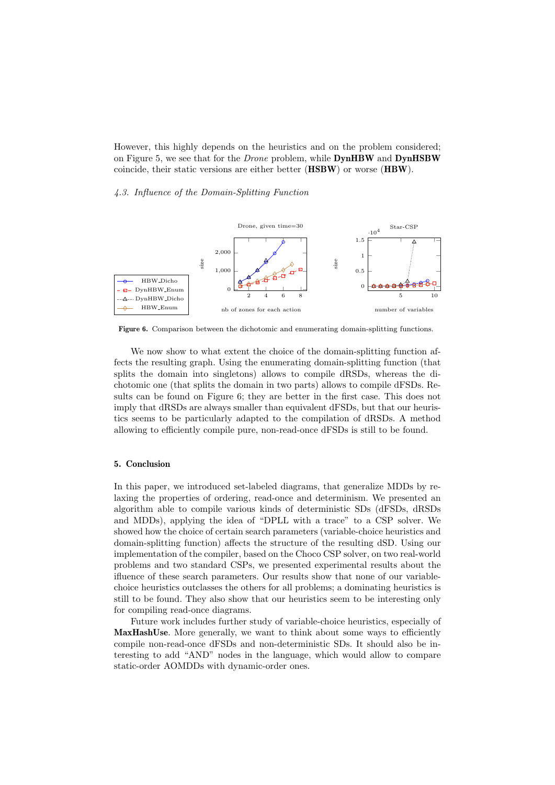However, this highly depends on the heuristics and on the problem considered; on Figure 5, we see that for the *Drone* problem, while **DynHBW** and **DynHSBW** coincide, their static versions are either better (HSBW) or worse (HBW).

4.3. Influence of the Domain-Splitting Function



Figure 6. Comparison between the dichotomic and enumerating domain-splitting functions.

We now show to what extent the choice of the domain-splitting function affects the resulting graph. Using the enumerating domain-splitting function (that splits the domain into singletons) allows to compile dRSDs, whereas the dichotomic one (that splits the domain in two parts) allows to compile dFSDs. Results can be found on Figure 6; they are better in the first case. This does not imply that dRSDs are always smaller than equivalent dFSDs, but that our heuristics seems to be particularly adapted to the compilation of dRSDs. A method allowing to efficiently compile pure, non-read-once dFSDs is still to be found.

## 5. Conclusion

In this paper, we introduced set-labeled diagrams, that generalize MDDs by relaxing the properties of ordering, read-once and determinism. We presented an algorithm able to compile various kinds of deterministic SDs (dFSDs, dRSDs and MDDs), applying the idea of "DPLL with a trace" to a CSP solver. We showed how the choice of certain search parameters (variable-choice heuristics and domain-splitting function) affects the structure of the resulting dSD. Using our implementation of the compiler, based on the Choco CSP solver, on two real-world problems and two standard CSPs, we presented experimental results about the ifluence of these search parameters. Our results show that none of our variablechoice heuristics outclasses the others for all problems; a dominating heuristics is still to be found. They also show that our heuristics seem to be interesting only for compiling read-once diagrams.

Future work includes further study of variable-choice heuristics, especially of MaxHashUse. More generally, we want to think about some ways to efficiently compile non-read-once dFSDs and non-deterministic SDs. It should also be interesting to add "AND" nodes in the language, which would allow to compare static-order AOMDDs with dynamic-order ones.